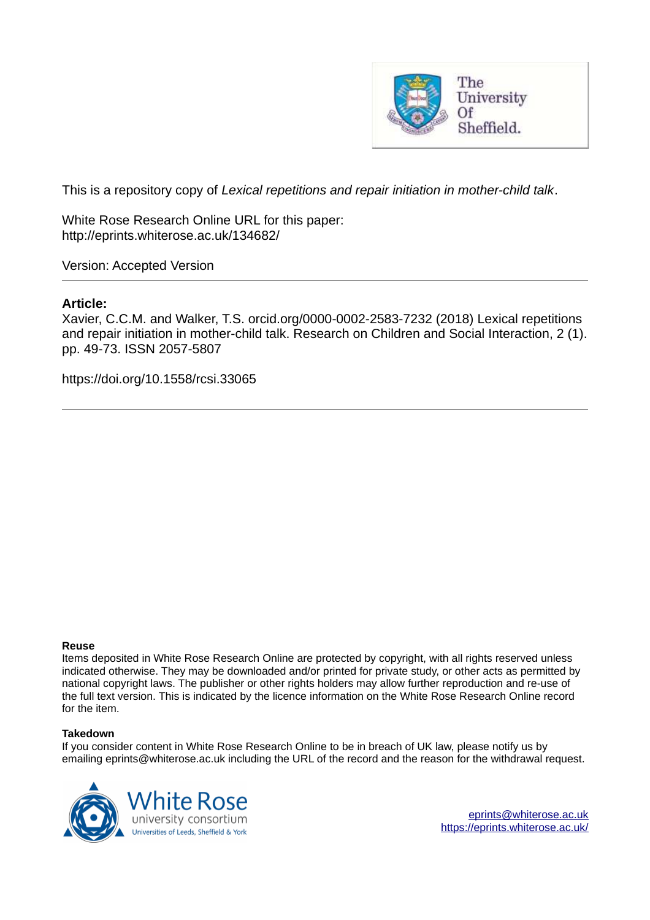

This is a repository copy of *Lexical repetitions and repair initiation in mother-child talk*.

White Rose Research Online URL for this paper: http://eprints.whiterose.ac.uk/134682/

Version: Accepted Version

# **Article:**

Xavier, C.C.M. and Walker, T.S. orcid.org/0000-0002-2583-7232 (2018) Lexical repetitions and repair initiation in mother-child talk. Research on Children and Social Interaction, 2 (1). pp. 49-73. ISSN 2057-5807

https://doi.org/10.1558/rcsi.33065

#### **Reuse**

Items deposited in White Rose Research Online are protected by copyright, with all rights reserved unless indicated otherwise. They may be downloaded and/or printed for private study, or other acts as permitted by national copyright laws. The publisher or other rights holders may allow further reproduction and re-use of the full text version. This is indicated by the licence information on the White Rose Research Online record for the item.

#### **Takedown**

If you consider content in White Rose Research Online to be in breach of UK law, please notify us by emailing eprints@whiterose.ac.uk including the URL of the record and the reason for the withdrawal request.



[eprints@whiterose.ac.uk](mailto:eprints@whiterose.ac.uk) <https://eprints.whiterose.ac.uk/>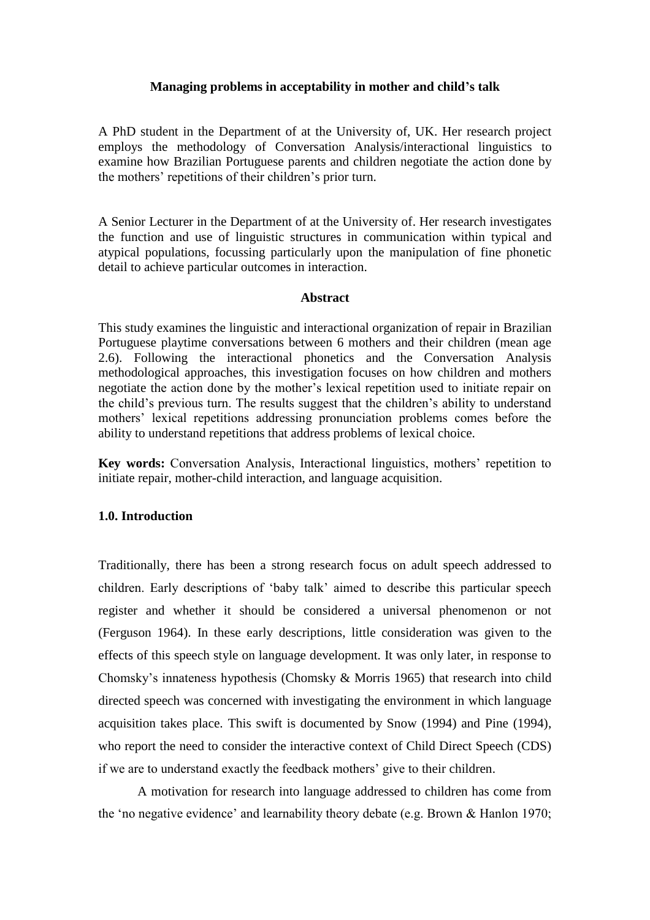# **Managing problems in acceptability in mother and child's talk**

A PhD student in the Department of at the University of, UK. Her research project employs the methodology of Conversation Analysis/interactional linguistics to examine how Brazilian Portuguese parents and children negotiate the action done by the mothers' repetitions of their children's prior turn.

A Senior Lecturer in the Department of at the University of. Her research investigates the function and use of linguistic structures in communication within typical and atypical populations, focussing particularly upon the manipulation of fine phonetic detail to achieve particular outcomes in interaction.

## **Abstract**

This study examines the linguistic and interactional organization of repair in Brazilian Portuguese playtime conversations between 6 mothers and their children (mean age 2.6). Following the interactional phonetics and the Conversation Analysis methodological approaches, this investigation focuses on how children and mothers negotiate the action done by the mother's lexical repetition used to initiate repair on the child's previous turn. The results suggest that the children's ability to understand mothers' lexical repetitions addressing pronunciation problems comes before the ability to understand repetitions that address problems of lexical choice.

**Key words:** Conversation Analysis, Interactional linguistics, mothers' repetition to initiate repair, mother-child interaction, and language acquisition.

# **1.0. Introduction**

Traditionally, there has been a strong research focus on adult speech addressed to children. Early descriptions of 'baby talk' aimed to describe this particular speech register and whether it should be considered a universal phenomenon or not (Ferguson 1964). In these early descriptions, little consideration was given to the effects of this speech style on language development. It was only later, in response to Chomsky's innateness hypothesis (Chomsky & Morris 1965) that research into child directed speech was concerned with investigating the environment in which language acquisition takes place. This swift is documented by Snow (1994) and Pine (1994), who report the need to consider the interactive context of Child Direct Speech (CDS) if we are to understand exactly the feedback mothers' give to their children.

A motivation for research into language addressed to children has come from the 'no negative evidence' and learnability theory debate (e.g. Brown & Hanlon 1970;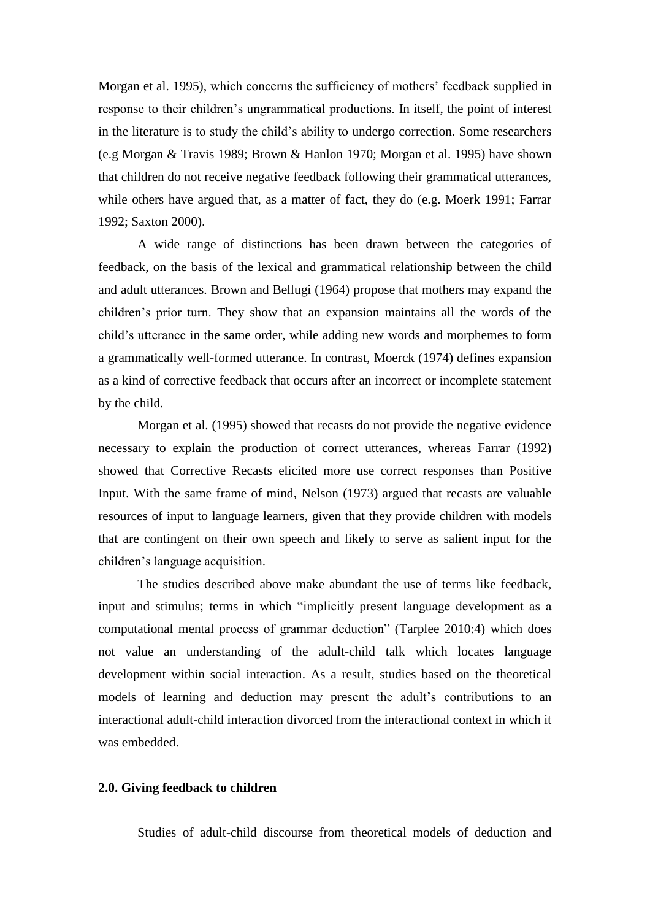Morgan et al. 1995), which concerns the sufficiency of mothers' feedback supplied in response to their children's ungrammatical productions. In itself, the point of interest in the literature is to study the child's ability to undergo correction. Some researchers (e.g Morgan & Travis 1989; Brown & Hanlon 1970; Morgan et al. 1995) have shown that children do not receive negative feedback following their grammatical utterances, while others have argued that, as a matter of fact, they do (e.g. Moerk 1991; Farrar 1992; Saxton 2000).

 A wide range of distinctions has been drawn between the categories of feedback, on the basis of the lexical and grammatical relationship between the child and adult utterances. Brown and Bellugi (1964) propose that mothers may expand the children's prior turn. They show that an expansion maintains all the words of the child's utterance in the same order, while adding new words and morphemes to form a grammatically well-formed utterance. In contrast, Moerck (1974) defines expansion as a kind of corrective feedback that occurs after an incorrect or incomplete statement by the child.

 Morgan et al. (1995) showed that recasts do not provide the negative evidence necessary to explain the production of correct utterances, whereas Farrar (1992) showed that Corrective Recasts elicited more use correct responses than Positive Input. With the same frame of mind, Nelson (1973) argued that recasts are valuable resources of input to language learners, given that they provide children with models that are contingent on their own speech and likely to serve as salient input for the children's language acquisition.

 The studies described above make abundant the use of terms like feedback, input and stimulus; terms in which "implicitly present language development as a computational mental process of grammar deduction" (Tarplee 2010:4) which does not value an understanding of the adult-child talk which locates language development within social interaction. As a result, studies based on the theoretical models of learning and deduction may present the adult's contributions to an interactional adult-child interaction divorced from the interactional context in which it was embedded.

### **2.0. Giving feedback to children**

Studies of adult-child discourse from theoretical models of deduction and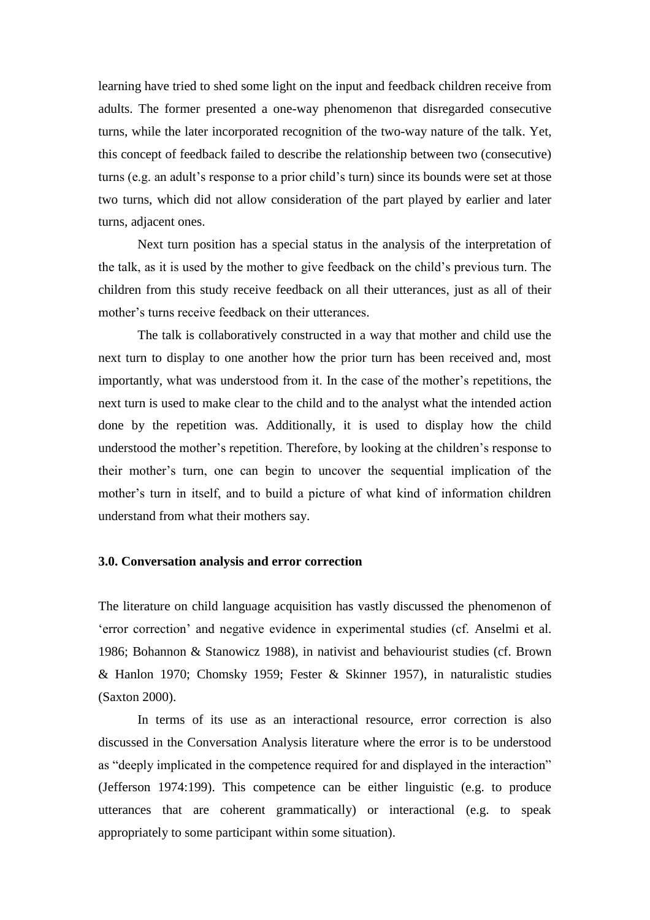learning have tried to shed some light on the input and feedback children receive from adults. The former presented a one-way phenomenon that disregarded consecutive turns, while the later incorporated recognition of the two-way nature of the talk. Yet, this concept of feedback failed to describe the relationship between two (consecutive) turns (e.g. an adult's response to a prior child's turn) since its bounds were set at those two turns, which did not allow consideration of the part played by earlier and later turns, adjacent ones.

 Next turn position has a special status in the analysis of the interpretation of the talk, as it is used by the mother to give feedback on the child's previous turn. The children from this study receive feedback on all their utterances, just as all of their mother's turns receive feedback on their utterances.

 The talk is collaboratively constructed in a way that mother and child use the next turn to display to one another how the prior turn has been received and, most importantly, what was understood from it. In the case of the mother's repetitions, the next turn is used to make clear to the child and to the analyst what the intended action done by the repetition was. Additionally, it is used to display how the child understood the mother's repetition. Therefore, by looking at the children's response to their mother's turn, one can begin to uncover the sequential implication of the mother's turn in itself, and to build a picture of what kind of information children understand from what their mothers say.

### **3.0. Conversation analysis and error correction**

The literature on child language acquisition has vastly discussed the phenomenon of 'error correction' and negative evidence in experimental studies (cf. Anselmi et al. 1986; Bohannon & Stanowicz 1988), in nativist and behaviourist studies (cf. Brown & Hanlon 1970; Chomsky 1959; Fester & Skinner 1957), in naturalistic studies (Saxton 2000).

 In terms of its use as an interactional resource, error correction is also discussed in the Conversation Analysis literature where the error is to be understood as "deeply implicated in the competence required for and displayed in the interaction" (Jefferson 1974:199). This competence can be either linguistic (e.g. to produce utterances that are coherent grammatically) or interactional (e.g. to speak appropriately to some participant within some situation).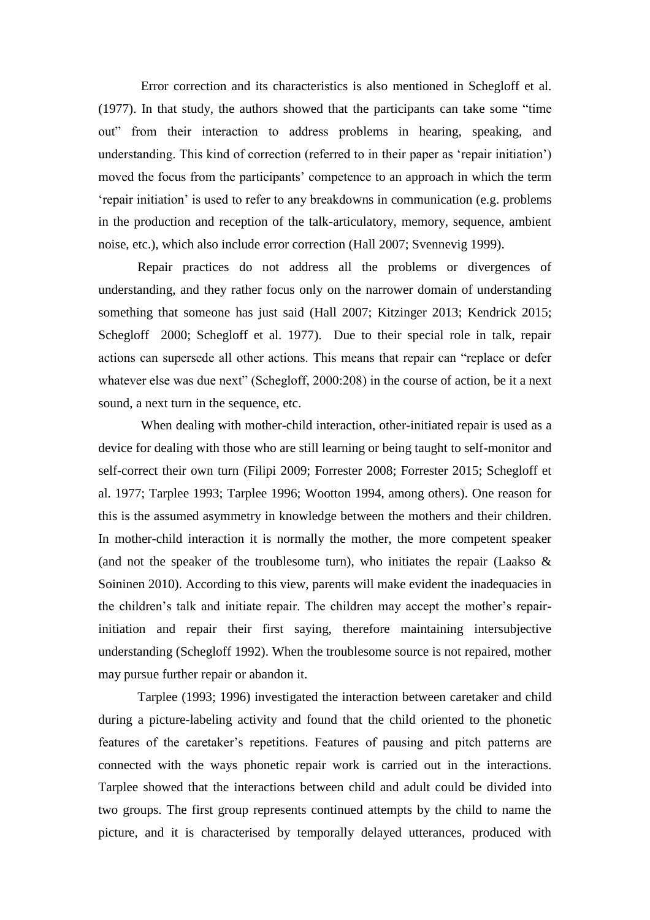Error correction and its characteristics is also mentioned in Schegloff et al. (1977). In that study, the authors showed that the participants can take some "time out" from their interaction to address problems in hearing, speaking, and understanding. This kind of correction (referred to in their paper as 'repair initiation') moved the focus from the participants' competence to an approach in which the term 'repair initiation' is used to refer to any breakdowns in communication (e.g. problems in the production and reception of the talk-articulatory, memory, sequence, ambient noise, etc.), which also include error correction (Hall 2007; Svennevig 1999).

 Repair practices do not address all the problems or divergences of understanding, and they rather focus only on the narrower domain of understanding something that someone has just said (Hall 2007; Kitzinger 2013; Kendrick 2015; Schegloff 2000; Schegloff et al. 1977). Due to their special role in talk, repair actions can supersede all other actions. This means that repair can "replace or defer whatever else was due next" (Schegloff, 2000:208) in the course of action, be it a next sound, a next turn in the sequence, etc.

When dealing with mother-child interaction, other-initiated repair is used as a device for dealing with those who are still learning or being taught to self-monitor and self-correct their own turn (Filipi 2009; Forrester 2008; Forrester 2015; Schegloff et al. 1977; Tarplee 1993; Tarplee 1996; Wootton 1994, among others). One reason for this is the assumed asymmetry in knowledge between the mothers and their children. In mother-child interaction it is normally the mother, the more competent speaker (and not the speaker of the troublesome turn), who initiates the repair (Laakso  $\&$ Soininen 2010). According to this view, parents will make evident the inadequacies in the children's talk and initiate repair. The children may accept the mother's repairinitiation and repair their first saying, therefore maintaining intersubjective understanding (Schegloff 1992). When the troublesome source is not repaired, mother may pursue further repair or abandon it.

 Tarplee (1993; 1996) investigated the interaction between caretaker and child during a picture-labeling activity and found that the child oriented to the phonetic features of the caretaker's repetitions. Features of pausing and pitch patterns are connected with the ways phonetic repair work is carried out in the interactions. Tarplee showed that the interactions between child and adult could be divided into two groups. The first group represents continued attempts by the child to name the picture, and it is characterised by temporally delayed utterances, produced with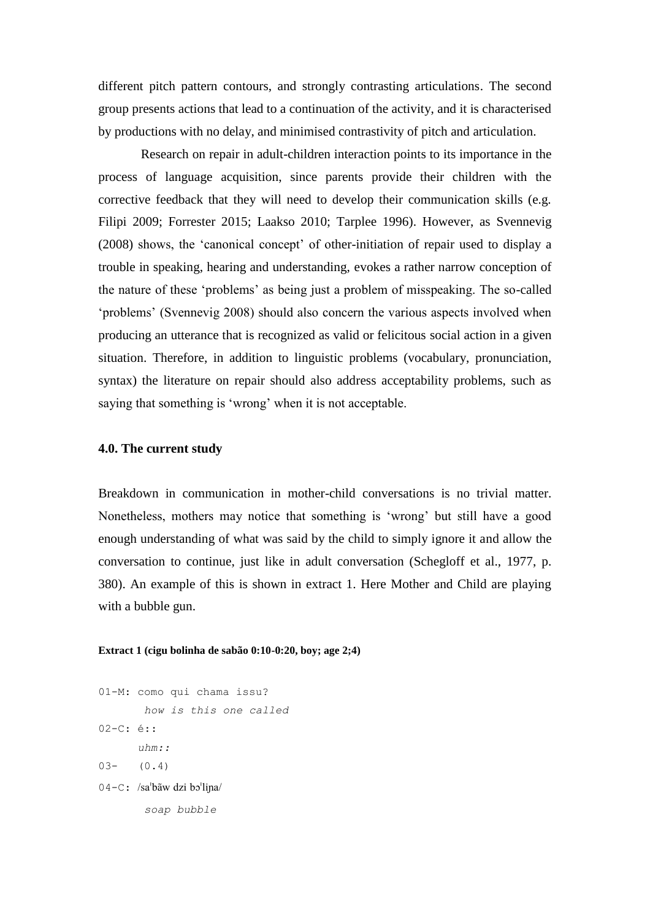different pitch pattern contours, and strongly contrasting articulations. The second group presents actions that lead to a continuation of the activity, and it is characterised by productions with no delay, and minimised contrastivity of pitch and articulation.

 Research on repair in adult-children interaction points to its importance in the process of language acquisition, since parents provide their children with the corrective feedback that they will need to develop their communication skills (e.g. Filipi 2009; Forrester 2015; Laakso 2010; Tarplee 1996). However, as Svennevig (2008) shows, the 'canonical concept' of other-initiation of repair used to display a trouble in speaking, hearing and understanding, evokes a rather narrow conception of the nature of these 'problems' as being just a problem of misspeaking. The so-called 'problems' (Svennevig 2008) should also concern the various aspects involved when producing an utterance that is recognized as valid or felicitous social action in a given situation. Therefore, in addition to linguistic problems (vocabulary, pronunciation, syntax) the literature on repair should also address acceptability problems, such as saying that something is 'wrong' when it is not acceptable.

## **4.0. The current study**

Breakdown in communication in mother-child conversations is no trivial matter. Nonetheless, mothers may notice that something is 'wrong' but still have a good enough understanding of what was said by the child to simply ignore it and allow the conversation to continue, just like in adult conversation (Schegloff et al., 1977, p. 380). An example of this is shown in extract 1. Here Mother and Child are playing with a bubble gun.

### **Extract 1 (cigu bolinha de sabão 0:10-0:20, boy; age 2;4)**

01-M: como qui chama issu? *how is this one called* 02-C: é:: *uhm::*   $03 (0.4)$ 04-C: /sa'bãw dzi bo'lina/ *soap bubble*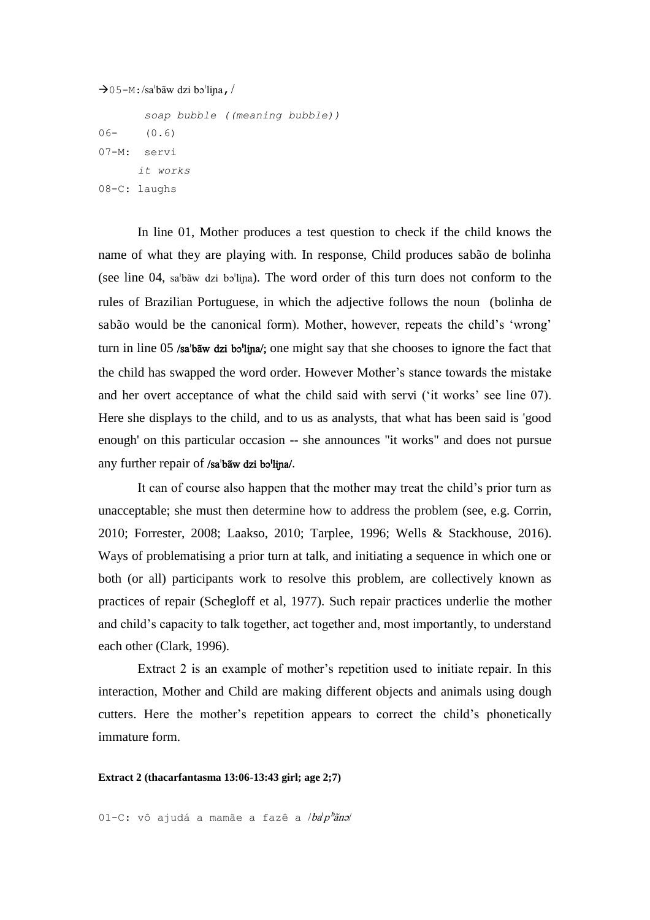```
\rightarrow05-M:/sa'bãw dzi bo'lina, /
```

```
 soap bubble ((meaning bubble)) 
06- (0.6)07-M: servi
     it works
08-C: laughs
```
 In line 01, Mother produces a test question to check if the child knows the name of what they are playing with. In response, Child produces sabão de bolinha (see line  $04$ , sa'ba"w dzi bo'lina). The word order of this turn does not conform to the rules of Brazilian Portuguese, in which the adjective follows the noun (bolinha de sabão would be the canonical form). Mother, however, repeats the child's 'wrong' turn in line 05 /sa'baw dzi bo'lina/; one might say that she chooses to ignore the fact that the child has swapped the word order. However Mother's stance towards the mistake and her overt acceptance of what the child said with servi ('it works' see line 07). Here she displays to the child, and to us as analysts, that what has been said is 'good enough' on this particular occasion -- she announces "it works" and does not pursue any further repair of /sa'baw dzi bo'lina/.

It can of course also happen that the mother may treat the child's prior turn as unacceptable; she must then determine how to address the problem (see, e.g. Corrin, 2010; Forrester, 2008; Laakso, 2010; Tarplee, 1996; Wells & Stackhouse, 2016). Ways of problematising a prior turn at talk, and initiating a sequence in which one or both (or all) participants work to resolve this problem, are collectively known as practices of repair (Schegloff et al, 1977). Such repair practices underlie the mother and child's capacity to talk together, act together and, most importantly, to understand each other (Clark, 1996).

Extract 2 is an example of mother's repetition used to initiate repair. In this interaction, Mother and Child are making different objects and animals using dough cutters. Here the mother's repetition appears to correct the child's phonetically immature form.

**Extract 2 (thacarfantasma 13:06-13:43 girl; age 2;7)** 

01-C: vô ajudá a mamãe a fazê a  $/ba^{\dagger}p^{\dagger}\tilde{a}n$ a/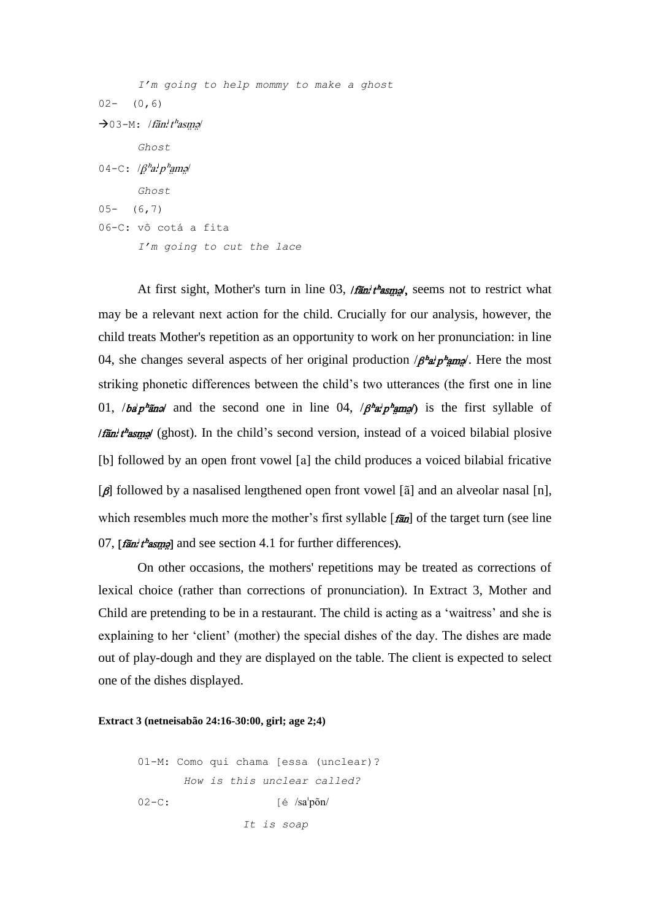```
 I'm going to help mommy to make a ghost
02 - (0, 6)\rightarrow03-M: /fãn<sup>1</sup>t<sup>h</sup>asmə/
         Ghost
04-C: /\beta^h a^h p^hama
         Ghost
05- (6,7)
06-C: vô cotá a fita
         I'm going to cut the lace
```
At first sight, Mother's turn in line 03,  $/$ fān $'t$ <sup>h</sup>asmo, seems not to restrict what may be a relevant next action for the child. Crucially for our analysis, however, the child treats Mother's repetition as an opportunity to work on her pronunciation: in line 04, she changes several aspects of her original production  $/\beta^2 a^{\dagger} p^{\dagger}$  map. Here the most striking phonetic differences between the child's two utterances (the first one in line 01, */ba* $p^{\mu}$ and and the second one in line 04,  $/p^{\mu}a^{\nu}p^{\mu}$ amag) is the first syllable of *Ifan't as angl* (ghost). In the child's second version, instead of a voiced bilabial plosive [b] followed by an open front vowel [a] the child produces a voiced bilabial fricative  $[\beta]$  followed by a nasalised lengthened open front vowel [ $\tilde{a}$ ] and an alveolar nasal [n], which resembles much more the mother's first syllable  $\left[\vec{r}\vec{a}n\right]$  of the target turn (see line 07,  $[\hat{f}$ an<sup>t</sup> $t^h$ asmal and see section 4.1 for further differences).

 On other occasions, the mothers' repetitions may be treated as corrections of lexical choice (rather than corrections of pronunciation). In Extract 3, Mother and Child are pretending to be in a restaurant. The child is acting as a 'waitress' and she is explaining to her 'client' (mother) the special dishes of the day. The dishes are made out of play-dough and they are displayed on the table. The client is expected to select one of the dishes displayed.

#### **Extract 3 (netneisabão 24:16-30:00, girl; age 2;4)**

```
01-M: Como qui chama [essa (unclear)?
         How is this unclear called? 
02-C: [\text{\'e}/\text{sa}^1\text{p} \tilde{o} \text{n}/ It is soap
```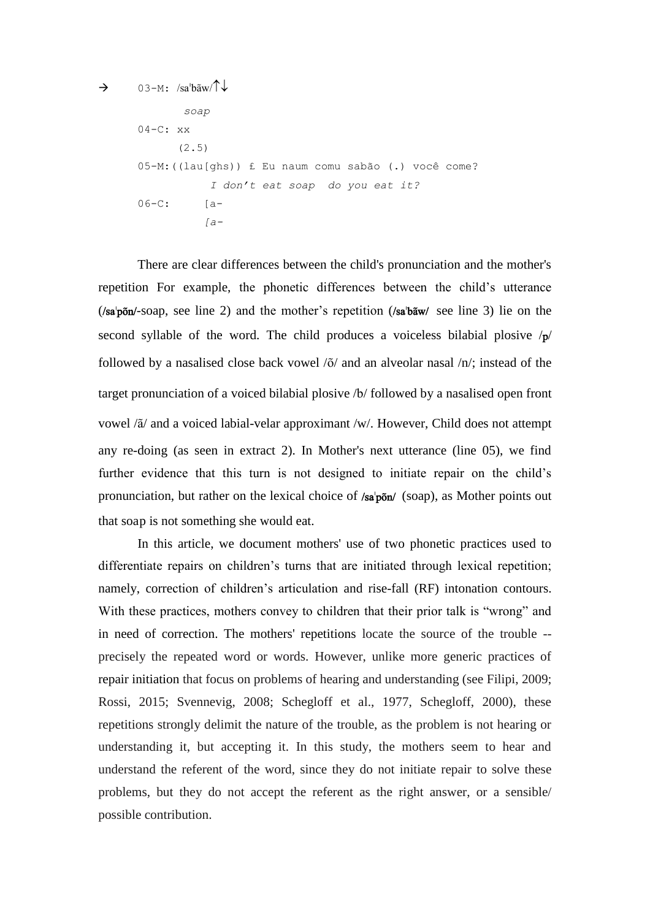```
\rightarrow 03-M: /sa<sup>t</sup>b\tilde{a}w/\tilde{b} soap
       04-C: xx (2.5) 
       05-M: ((lau[ghs)) £ Eu naum comu sabão (.) você come?
                      I don't eat soap do you eat it? 
       06-C: [a- [a-
```
 There are clear differences between the child's pronunciation and the mother's repetition For example, the phonetic differences between the child's utterance  $(\sqrt{sa'}p\tilde{\mathbf{o}}p' - soap,$  see line 2) and the mother's repetition  $(\sqrt{sa'}b\tilde{\mathbf{a}}w'$  see line 3) lie on the second syllable of the word. The child produces a voiceless bilabial plosive  $/p/$ followed by a nasalised close back vowel  $\delta/$  and an alveolar nasal  $/n/$ ; instead of the target pronunciation of a voiced bilabial plosive /b/ followed by a nasalised open front vowel / $\tilde{a}$ / and a voiced labial-velar approximant /w/. However, Child does not attempt any re-doing (as seen in extract 2). In Mother's next utterance (line 05), we find further evidence that this turn is not designed to initiate repair on the child's pronunciation, but rather on the lexical choice of  $/sa<sub>p</sub>õn'$  (soap), as Mother points out that soap is not something she would eat.

 In this article, we document mothers' use of two phonetic practices used to differentiate repairs on children's turns that are initiated through lexical repetition; namely, correction of children's articulation and rise-fall (RF) intonation contours. With these practices, mothers convey to children that their prior talk is "wrong" and in need of correction. The mothers' repetitions locate the source of the trouble - precisely the repeated word or words. However, unlike more generic practices of repair initiation that focus on problems of hearing and understanding (see Filipi, 2009; Rossi, 2015; Svennevig, 2008; Schegloff et al., 1977, Schegloff, 2000), these repetitions strongly delimit the nature of the trouble, as the problem is not hearing or understanding it, but accepting it. In this study, the mothers seem to hear and understand the referent of the word, since they do not initiate repair to solve these problems, but they do not accept the referent as the right answer, or a sensible/ possible contribution.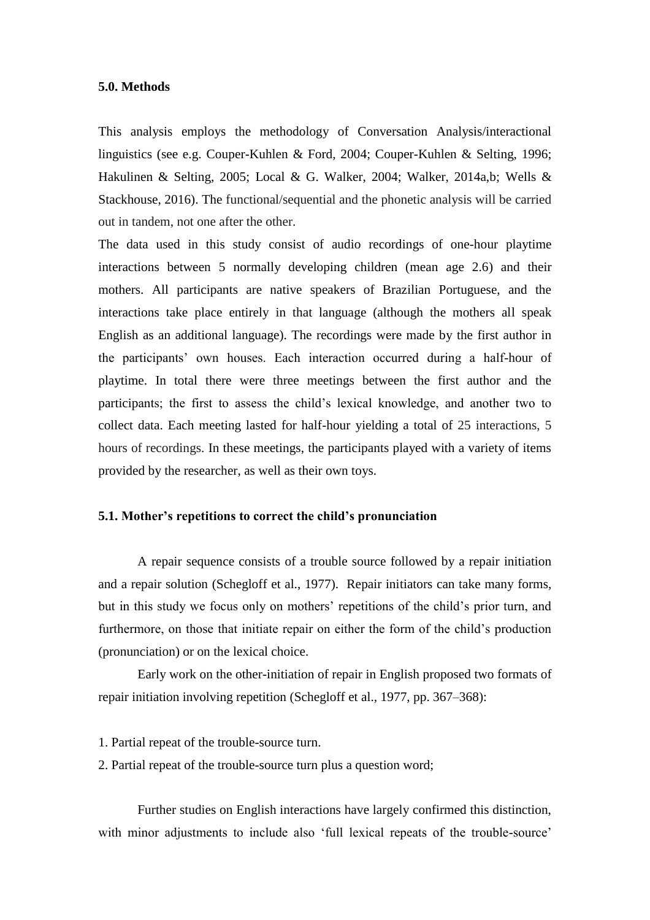## **5.0. Methods**

This analysis employs the methodology of Conversation Analysis/interactional linguistics (see e.g. Couper-Kuhlen & Ford, 2004; Couper-Kuhlen & Selting, 1996; Hakulinen & Selting, 2005; Local & G. Walker, 2004; Walker, 2014a,b; Wells & Stackhouse, 2016). The functional/sequential and the phonetic analysis will be carried out in tandem, not one after the other.

The data used in this study consist of audio recordings of one-hour playtime interactions between 5 normally developing children (mean age 2.6) and their mothers. All participants are native speakers of Brazilian Portuguese, and the interactions take place entirely in that language (although the mothers all speak English as an additional language). The recordings were made by the first author in the participants' own houses. Each interaction occurred during a half-hour of playtime. In total there were three meetings between the first author and the participants; the first to assess the child's lexical knowledge, and another two to collect data. Each meeting lasted for half-hour yielding a total of 25 interactions, 5 hours of recordings. In these meetings, the participants played with a variety of items provided by the researcher, as well as their own toys.

### **5.1. Mother's repetitions to correct the child's pronunciation**

 A repair sequence consists of a trouble source followed by a repair initiation and a repair solution (Schegloff et al., 1977). Repair initiators can take many forms, but in this study we focus only on mothers' repetitions of the child's prior turn, and furthermore, on those that initiate repair on either the form of the child's production (pronunciation) or on the lexical choice.

 Early work on the other-initiation of repair in English proposed two formats of repair initiation involving repetition (Schegloff et al., 1977, pp. 367–368):

1. Partial repeat of the trouble-source turn.

2. Partial repeat of the trouble-source turn plus a question word;

 Further studies on English interactions have largely confirmed this distinction, with minor adjustments to include also 'full lexical repeats of the trouble-source'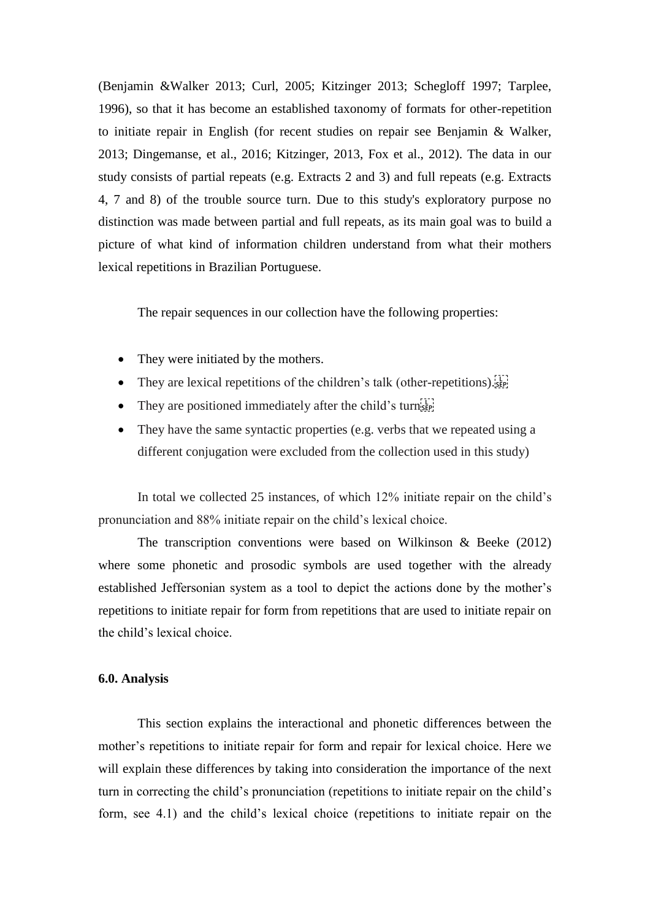(Benjamin &Walker 2013; Curl, 2005; Kitzinger 2013; Schegloff 1997; Tarplee, 1996), so that it has become an established taxonomy of formats for other-repetition to initiate repair in English (for recent studies on repair see Benjamin & Walker, 2013; Dingemanse, et al., 2016; Kitzinger, 2013, Fox et al., 2012). The data in our study consists of partial repeats (e.g. Extracts 2 and 3) and full repeats (e.g. Extracts 4, 7 and 8) of the trouble source turn. Due to this study's exploratory purpose no distinction was made between partial and full repeats, as its main goal was to build a picture of what kind of information children understand from what their mothers lexical repetitions in Brazilian Portuguese.

The repair sequences in our collection have the following properties:

- They were initiated by the mothers.
- They are lexical repetitions of the children's talk (other-repetitions).
- They are positioned immediately after the child's turn $\left[\frac{1}{100}\right]$
- They have the same syntactic properties (e.g. verbs that we repeated using a different conjugation were excluded from the collection used in this study)

In total we collected 25 instances, of which 12% initiate repair on the child's pronunciation and 88% initiate repair on the child's lexical choice.

 The transcription conventions were based on Wilkinson & Beeke (2012) where some phonetic and prosodic symbols are used together with the already established Jeffersonian system as a tool to depict the actions done by the mother's repetitions to initiate repair for form from repetitions that are used to initiate repair on the child's lexical choice.

### **6.0. Analysis**

 This section explains the interactional and phonetic differences between the mother's repetitions to initiate repair for form and repair for lexical choice. Here we will explain these differences by taking into consideration the importance of the next turn in correcting the child's pronunciation (repetitions to initiate repair on the child's form, see 4.1) and the child's lexical choice (repetitions to initiate repair on the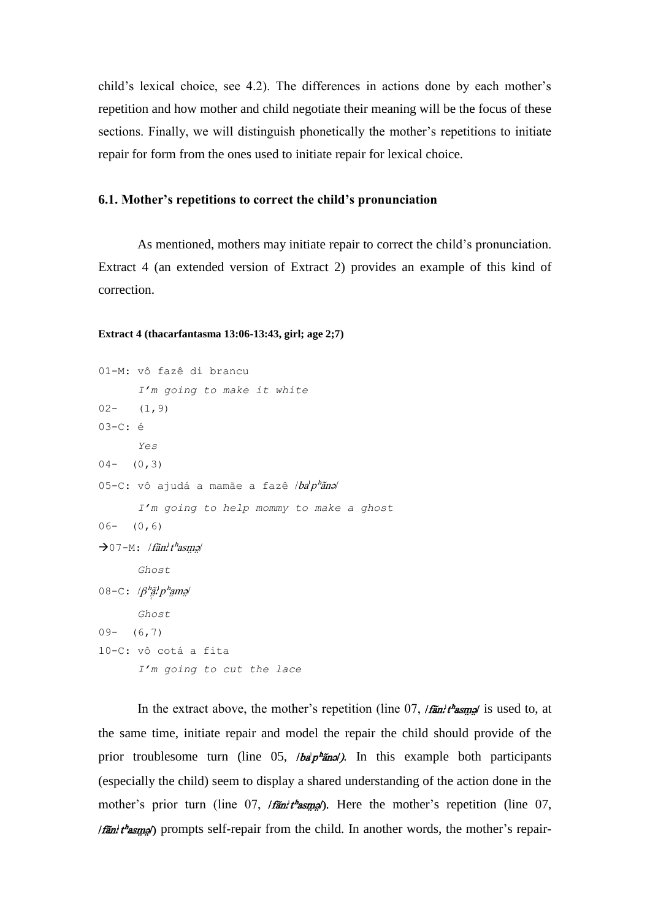child's lexical choice, see 4.2). The differences in actions done by each mother's repetition and how mother and child negotiate their meaning will be the focus of these sections. Finally, we will distinguish phonetically the mother's repetitions to initiate repair for form from the ones used to initiate repair for lexical choice.

## **6.1. Mother's repetitions to correct the child's pronunciation**

 As mentioned, mothers may initiate repair to correct the child's pronunciation. Extract 4 (an extended version of Extract 2) provides an example of this kind of correction.

#### **Extract 4 (thacarfantasma 13:06-13:43, girl; age 2;7)**

```
01-M: vô fazê di brancu
        I'm going to make it white
02 - (1, 9)03-C: é
        Yes
04- (0, 3)05-C: vô ajudá a mamãe a fazê /ba'p''ãna
        I'm going to help mommy to make a ghost
06- (0,6)\rightarrow 07-M: /fãn<sup>, th</sup>asme
        Ghost
08–с: /\beta^hа̃ʻ.p^hата/
        Ghost
09 - (6, 7)10-C: vô cotá a fita
        I'm going to cut the lace
```
In the extract above, the mother's repetition (line  $07$ , / $\frac{r}{r}$  / $\frac{h}{r}$  / $\frac{h}{r}$  / is used to, at the same time, initiate repair and model the repair the child should provide of the prior troublesome turn (line  $0.5$ ,  $\theta \frac{a^2 \pi a}{a^2}$ ). In this example both participants (especially the child) seem to display a shared understanding of the action done in the mother's prior turn (line 07,  $/\tan^2 t^2 \sin^2 t$ ). Here the mother's repetition (line 07,  $\pi$  / fãn' t<sup>h</sup>as m<sub>a</sub>) prompts self-repair from the child. In another words, the mother's repair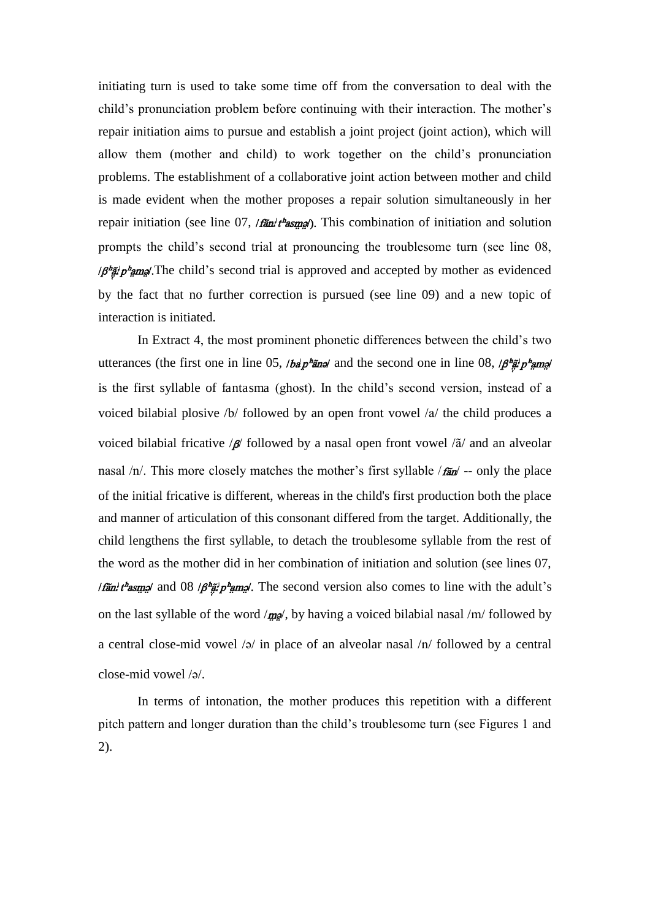initiating turn is used to take some time off from the conversation to deal with the child's pronunciation problem before continuing with their interaction. The mother's repair initiation aims to pursue and establish a joint project (joint action), which will allow them (mother and child) to work together on the child's pronunciation problems. The establishment of a collaborative joint action between mother and child is made evident when the mother proposes a repair solution simultaneously in her repair initiation (see line 07,  $/5$  take  $/2$ ). This combination of initiation and solution prompts the child's second trial at pronouncing the troublesome turn (see line 08,  $\beta^h\tilde{\mathbf{z}}_k^m p^h$  m  $\mathbf{z}$ . The child's second trial is approved and accepted by mother as evidenced by the fact that no further correction is pursued (see line 09) and a new topic of interaction is initiated.

 In Extract 4, the most prominent phonetic differences between the child's two utterances (the first one in line 05, */ba/p<sup>h</sup>ane*/ and the second one in line 08,  $\beta^h$ ang/ is the first syllable of fantasma (ghost). In the child's second version, instead of a voiced bilabial plosive /b/ followed by an open front vowel /a/ the child produces a voiced bilabial fricative  $\beta$  followed by a nasal open front vowel  $\alpha$  and an alveolar nasal  $/n$ . This more closely matches the mother's first syllable  $/\mathbf{r}$  -- only the place of the initial fricative is different, whereas in the child's first production both the place and manner of articulation of this consonant differed from the target. Additionally, the child lengthens the first syllable, to detach the troublesome syllable from the rest of the word as the mother did in her combination of initiation and solution (see lines 07, *Ifan't rasme and 08*  $\beta$  *and*  $\beta$  */*  $\beta$  *and*  $\beta$ *.* The second version also comes to line with the adult's on the last syllable of the word  $/mg$ , by having a voiced bilabial nasal /m/ followed by a central close-mid vowel  $\sqrt{a}$  in place of an alveolar nasal  $\sqrt{n}$  followed by a central close-mid vowel /2/.

 In terms of intonation, the mother produces this repetition with a different pitch pattern and longer duration than the child's troublesome turn (see Figures 1 and 2).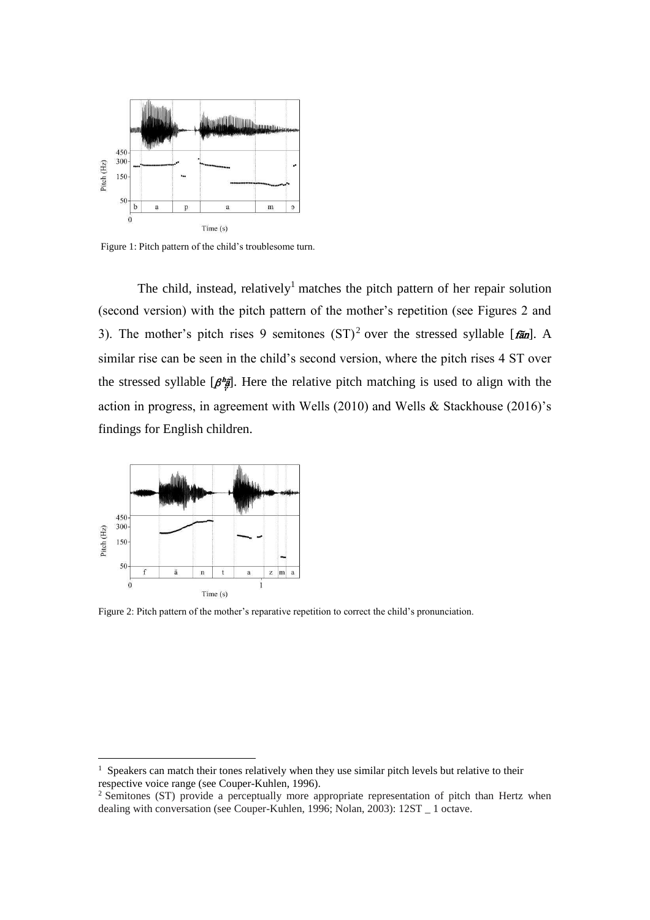

Figure 1: Pitch pattern of the child's troublesome turn.

The child, instead, relatively<sup>1</sup> matches the pitch pattern of her repair solution (second version) with the pitch pattern of the mother's repetition (see Figures 2 and 3). The mother's pitch rises 9 semitones  $(ST)^2$  over the stressed syllable [ $f\tilde{a}n$ ]. A similar rise can be seen in the child's second version, where the pitch rises 4 ST over the stressed syllable  $\left[\beta^{\frac{h}{2}}\right]$ . Here the relative pitch matching is used to align with the action in progress, in agreement with Wells (2010) and Wells & Stackhouse (2016)'s findings for English children.



 $\overline{a}$ 

Figure 2: Pitch pattern of the mother's reparative repetition to correct the child's pronunciation.

<sup>&</sup>lt;sup>1</sup> Speakers can match their tones relatively when they use similar pitch levels but relative to their respective voice range (see Couper-Kuhlen, 1996).

<sup>&</sup>lt;sup>2</sup> Semitones (ST) provide a perceptually more appropriate representation of pitch than Hertz when dealing with conversation (see Couper-Kuhlen, 1996; Nolan, 2003): 12ST \_ 1 octave.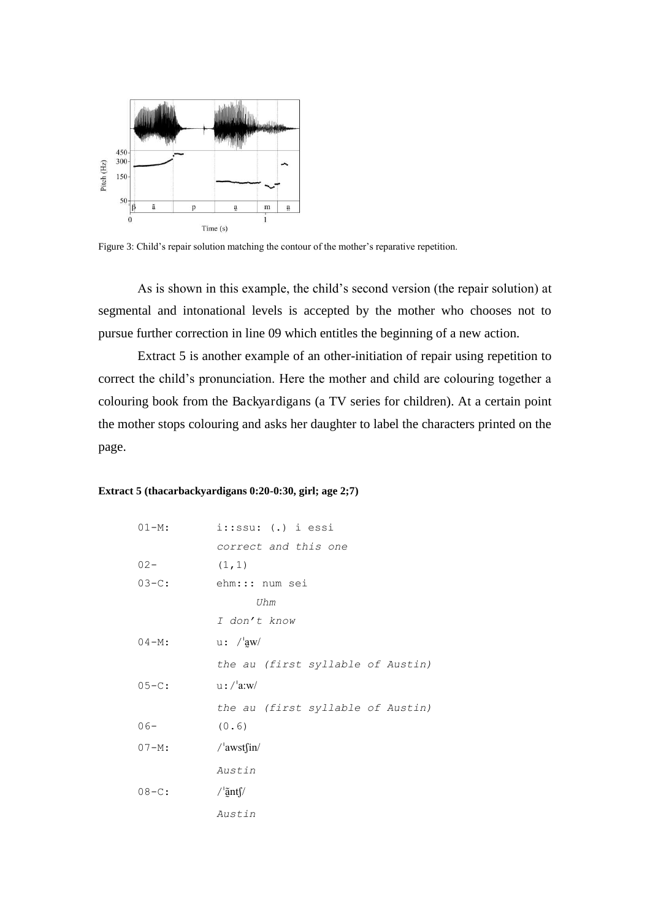

Figure 3: Child's repair solution matching the contour of the mother's reparative repetition.

As is shown in this example, the child's second version (the repair solution) at segmental and intonational levels is accepted by the mother who chooses not to pursue further correction in line 09 which entitles the beginning of a new action.

 Extract 5 is another example of an other-initiation of repair using repetition to correct the child's pronunciation. Here the mother and child are colouring together a colouring book from the Backyardigans (a TV series for children). At a certain point the mother stops colouring and asks her daughter to label the characters printed on the page.

#### **Extract 5 (thacarbackyardigans 0:20-0:30, girl; age 2;7)**

| $01 - M$ : | $i::ssu:(.)$ i essi               |
|------------|-----------------------------------|
|            | correct and this one              |
| $02 -$     | (1, 1)                            |
| $03 - C:$  | ehm::: num sei                    |
|            | Uhm                               |
|            | I don't know                      |
| $04 - M:$  | u: /  aw                          |
|            | the au (first syllable of Austin) |
| $05 - C:$  | $u$ :/ $'$ a:w/                   |
|            | the au (first syllable of Austin) |
| $06-$      | (0.6)                             |
| $07 - M:$  | $/$ 'awst $\int$ in/              |
|            | Austin                            |
| $08 - C$ : | / $\frac{3}{2}$ nts               |
|            | Austin                            |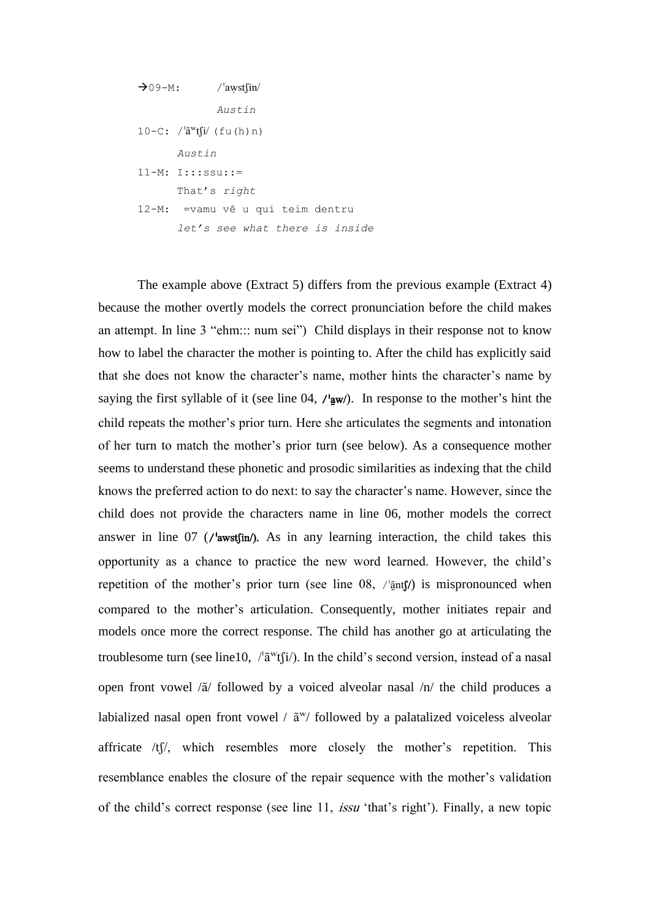```
\rightarrow 09-M: /'awst\sin/
                 Austin
10-C: /\lbrack \tilde{a}^{w}t\tilde{h}^{j} (fu(h)n)
         Austin
11-M: I:::ssu::= 
        That's right
12-M: =vamu vê u qui teim dentru
        let's see what there is inside
```
 The example above (Extract 5) differs from the previous example (Extract 4) because the mother overtly models the correct pronunciation before the child makes an attempt. In line 3 "ehm::: num sei") Child displays in their response not to know how to label the character the mother is pointing to. After the child has explicitly said that she does not know the character's name, mother hints the character's name by saying the first syllable of it (see line 04,  $\ell$ <sup>1</sup> aw/). In response to the mother's hint the child repeats the mother's prior turn. Here she articulates the segments and intonation of her turn to match the mother's prior turn (see below). As a consequence mother seems to understand these phonetic and prosodic similarities as indexing that the child knows the preferred action to do next: to say the character's name. However, since the child does not provide the characters name in line 06, mother models the correct answer in line  $07$  (/ $\frac{I}{I}$  / $\frac{I}{I}$ ). As in any learning interaction, the child takes this opportunity as a chance to practice the new word learned. However, the child's repetition of the mother's prior turn (see line  $08$ ,  $/\frac{5}{2}$ nt f) is mispronounced when compared to the mother's articulation. Consequently, mother initiates repair and models once more the correct response. The child has another go at articulating the troublesome turn (see line10,  $/\tilde{a}^{w}t(i)$ ). In the child's second version, instead of a nasal open front vowel  $\langle \tilde{a} \rangle$  followed by a voiced alveolar nasal  $\langle n \rangle$  the child produces a labialized nasal open front vowel /  $\tilde{a}^{w}$ / followed by a palatalized voiceless alveolar affricate  $/t$   $\frac{f}{f}$ , which resembles more closely the mother's repetition. This resemblance enables the closure of the repair sequence with the mother's validation of the child's correct response (see line 11, issu 'that's right'). Finally, a new topic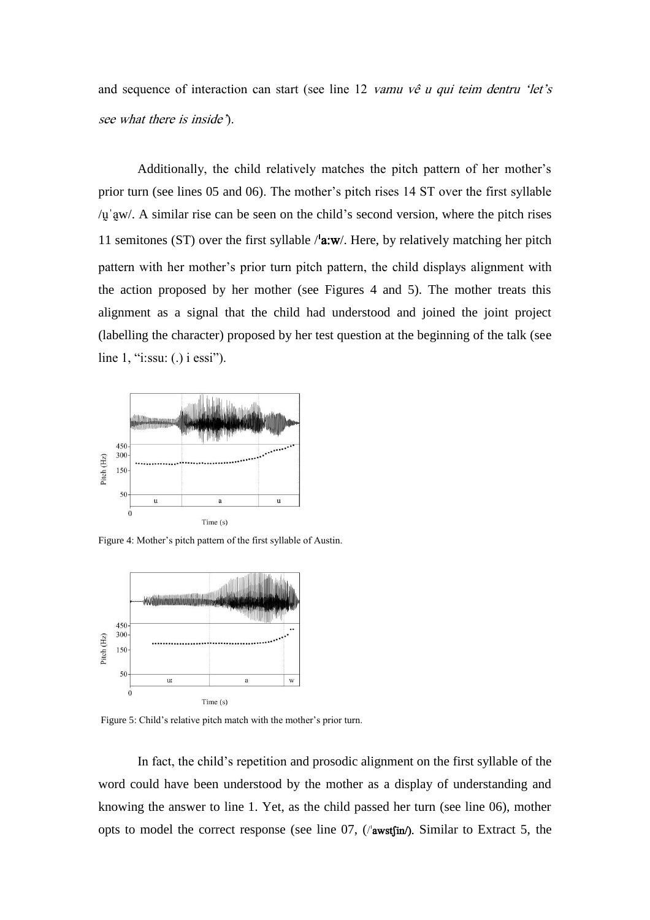and sequence of interaction can start (see line 12 vamu vê u qui teim dentru 'let's see what there is inside').

 Additionally, the child relatively matches the pitch pattern of her mother's prior turn (see lines 05 and 06). The mother's pitch rises 14 ST over the first syllable  $/\mu$  aw/. A similar rise can be seen on the child's second version, where the pitch rises 11 semitones (ST) over the first syllable  $/\alpha$ :w/. Here, by relatively matching her pitch pattern with her mother's prior turn pitch pattern, the child displays alignment with the action proposed by her mother (see Figures 4 and 5). The mother treats this alignment as a signal that the child had understood and joined the joint project (labelling the character) proposed by her test question at the beginning of the talk (see line 1, "i:ssu: (.) i essi").



Figure 4: Mother's pitch pattern of the first syllable of Austin.



Figure 5: Child's relative pitch match with the mother's prior turn.

In fact, the child's repetition and prosodic alignment on the first syllable of the word could have been understood by the mother as a display of understanding and knowing the answer to line 1. Yet, as the child passed her turn (see line 06), mother opts to model the correct response (see line  $07$ , ( $\alpha$ wstfin). Similar to Extract 5, the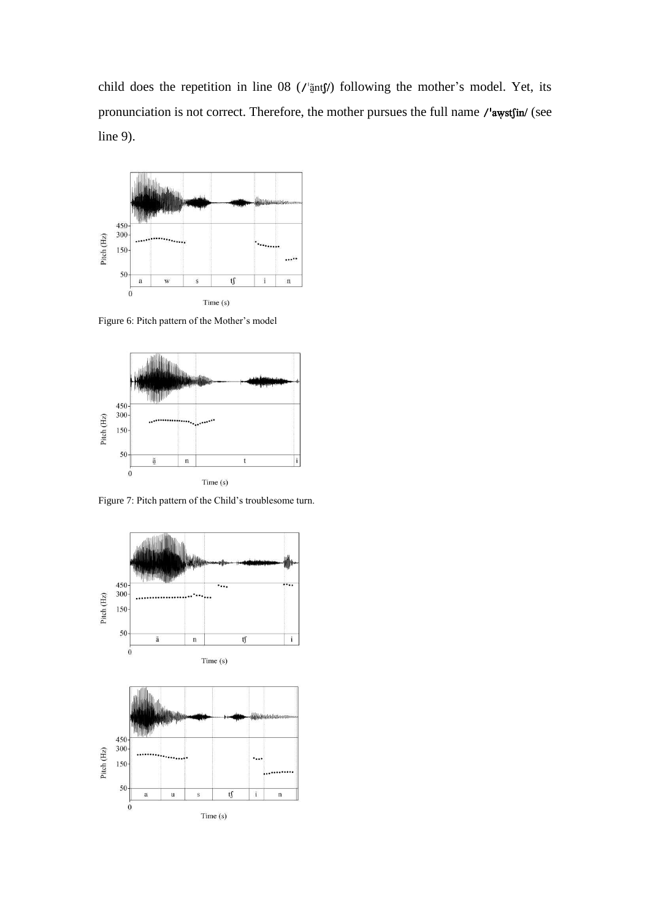child does the repetition in line 08 (/' $\tilde{a}$ ntf/) following the mother's model. Yet, its pronunciation is not correct. Therefore, the mother pursues the full name /'awstfin/ (see line 9).



Figure 6: Pitch pattern of the Mother's model



Figure 7: Pitch pattern of the Child's troublesome turn.

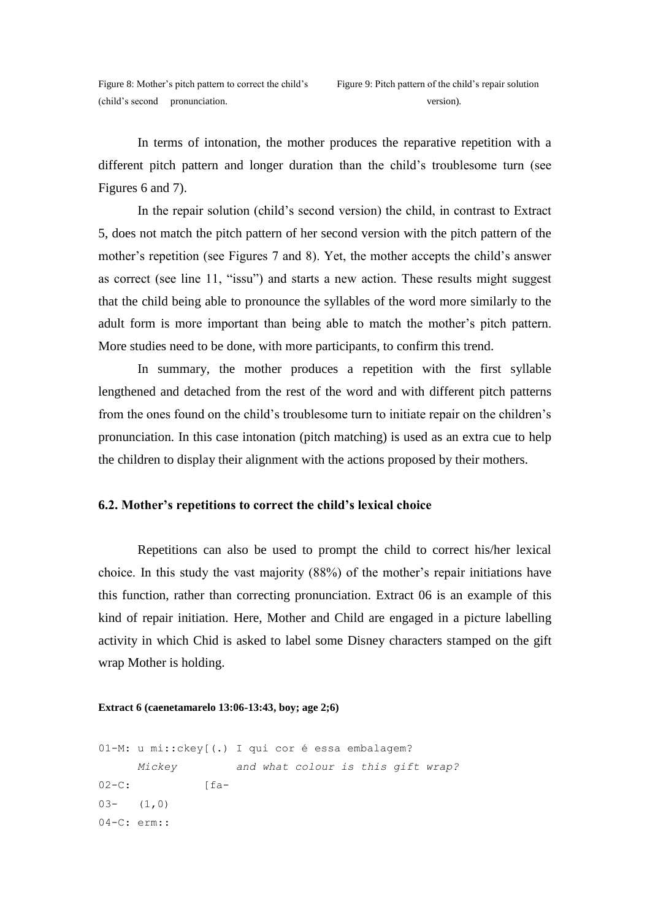In terms of intonation, the mother produces the reparative repetition with a different pitch pattern and longer duration than the child's troublesome turn (see Figures 6 and 7).

In the repair solution (child's second version) the child, in contrast to Extract 5, does not match the pitch pattern of her second version with the pitch pattern of the mother's repetition (see Figures 7 and 8). Yet, the mother accepts the child's answer as correct (see line 11, "issu") and starts a new action. These results might suggest that the child being able to pronounce the syllables of the word more similarly to the adult form is more important than being able to match the mother's pitch pattern. More studies need to be done, with more participants, to confirm this trend.

 In summary, the mother produces a repetition with the first syllable lengthened and detached from the rest of the word and with different pitch patterns from the ones found on the child's troublesome turn to initiate repair on the children's pronunciation. In this case intonation (pitch matching) is used as an extra cue to help the children to display their alignment with the actions proposed by their mothers.

### **6.2. Mother's repetitions to correct the child's lexical choice**

 Repetitions can also be used to prompt the child to correct his/her lexical choice. In this study the vast majority (88%) of the mother's repair initiations have this function, rather than correcting pronunciation. Extract 06 is an example of this kind of repair initiation. Here, Mother and Child are engaged in a picture labelling activity in which Chid is asked to label some Disney characters stamped on the gift wrap Mother is holding.

#### **Extract 6 (caenetamarelo 13:06-13:43, boy; age 2;6)**

```
01-M: u mi:: ckey [(.) I qui cor é essa embalagem?
      Mickey and what colour is this gift wrap?
02-C: \int f a^{-}03- (1,0)04-C: erm::
```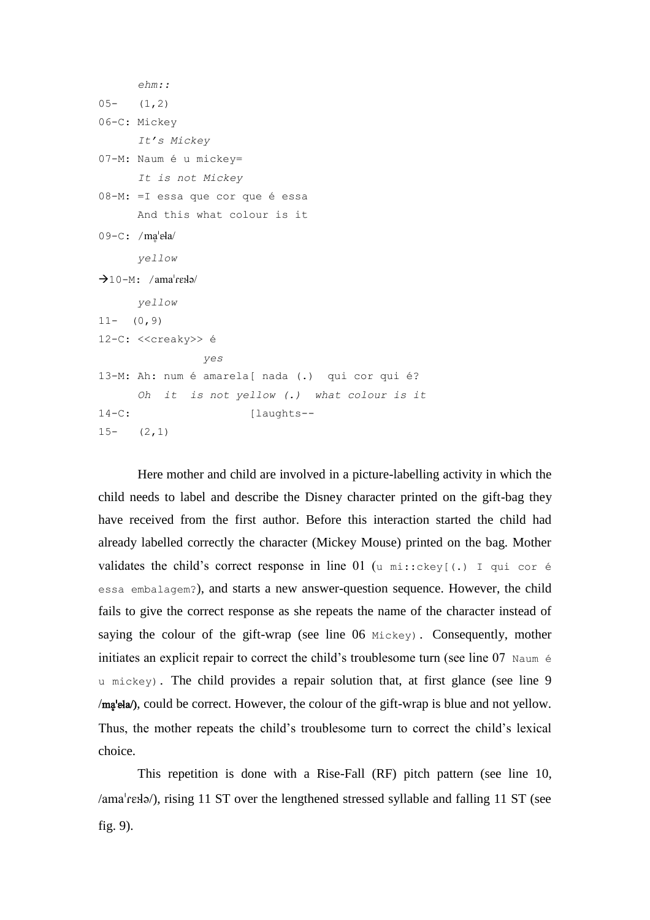```
 ehm::
05- (1,2)06-C: Mickey
       It's Mickey
07-M: Naum È u mickey=
       It is not Mickey 
08-M: = I essa que cor que é essa
       And this what colour is it 
09-C: /ma'ela/
       yellow 
\rightarrow10-M: /amareka/
       yellow
11 - (0, 9)12-C: <<creaky>> é
                 yes
13-M: Ah: num È amarela[ nada (.) qui cor qui È?
       Oh it is not yellow (.) what colour is it
14-C: [laughts--
15- (2,1)
```
 Here mother and child are involved in a picture-labelling activity in which the child needs to label and describe the Disney character printed on the gift-bag they have received from the first author. Before this interaction started the child had already labelled correctly the character (Mickey Mouse) printed on the bag. Mother validates the child's correct response in line 01 (u mi:: ckey[(.) I qui cor é essa embalagem?), and starts a new answer-question sequence. However, the child fails to give the correct response as she repeats the name of the character instead of saying the colour of the gift-wrap (see line 06 Mickey). Consequently, mother initiates an explicit repair to correct the child's troublesome turn (see line  $07$  Naum  $\acute{\rm{e}}$ u mickey). The child provides a repair solution that, at first glance (see line 9  $/mq$ be correct. However, the colour of the gift-wrap is blue and not yellow. Thus, the mother repeats the child's troublesome turn to correct the child's lexical choice.

 This repetition is done with a Rise-Fall (RF) pitch pattern (see line 10,  $\alpha$  /ama<sup>1</sup> resl $\alpha$ ), rising 11 ST over the lengthened stressed syllable and falling 11 ST (see fig. 9).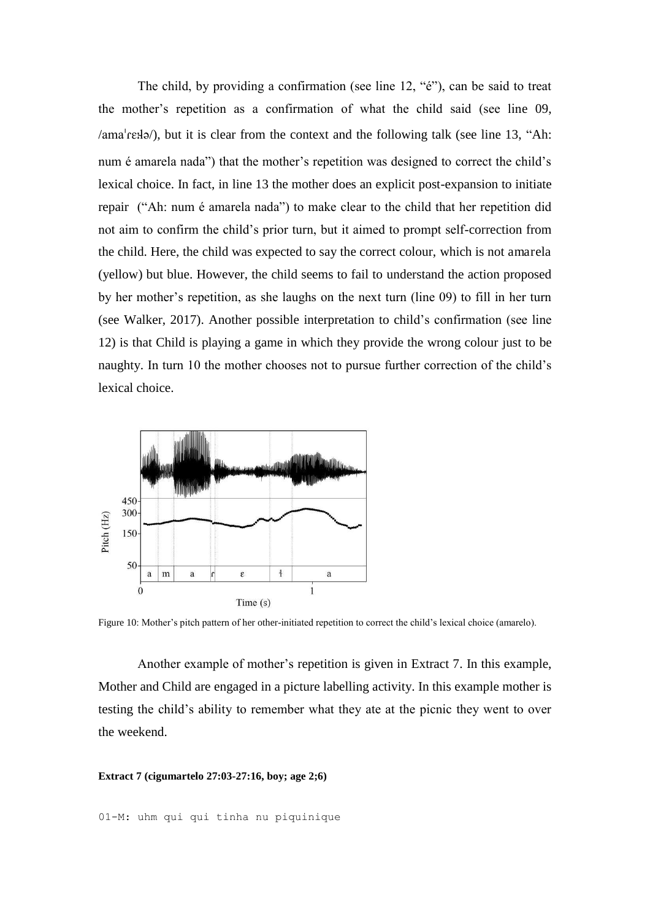The child, by providing a confirmation (see line 12, "é"), can be said to treat the mother's repetition as a confirmation of what the child said (see line 09,  $\lambda$ ama $\text{``reflə'},$  but it is clear from the context and the following talk (see line 13, "Ah: num é amarela nada") that the mother's repetition was designed to correct the child's lexical choice. In fact, in line 13 the mother does an explicit post-expansion to initiate repair ("Ah: num é amarela nada") to make clear to the child that her repetition did not aim to confirm the child's prior turn, but it aimed to prompt self-correction from the child. Here, the child was expected to say the correct colour, which is not amarela (yellow) but blue. However, the child seems to fail to understand the action proposed by her mother's repetition, as she laughs on the next turn (line 09) to fill in her turn (see Walker, 2017). Another possible interpretation to child's confirmation (see line 12) is that Child is playing a game in which they provide the wrong colour just to be naughty. In turn 10 the mother chooses not to pursue further correction of the child's lexical choice.



Figure 10: Mother's pitch pattern of her other-initiated repetition to correct the child's lexical choice (amarelo).

Another example of mother's repetition is given in Extract 7. In this example, Mother and Child are engaged in a picture labelling activity. In this example mother is testing the child's ability to remember what they ate at the picnic they went to over the weekend.

### **Extract 7 (cigumartelo 27:03-27:16, boy; age 2;6)**

01-M: uhm qui qui tinha nu piquinique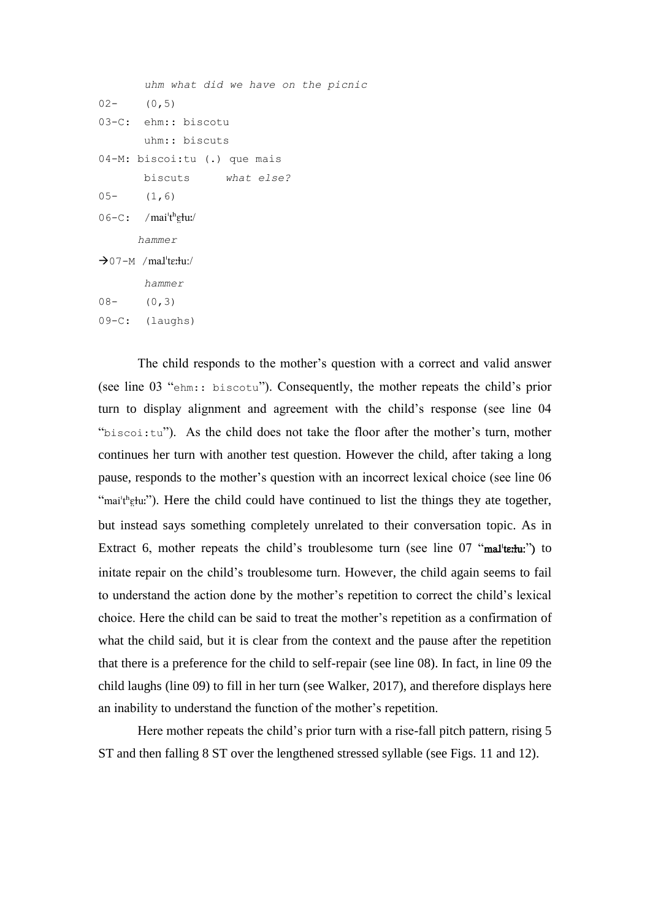```
 uhm what did we have on the picnic 
02 - (0,5)03-C: ehm:: biscotu
         uhm:: biscuts 
04-M: biscoi:tu (.) que mais
         biscuts what else? 
05- (1, 6)06-C: /mai<sup>th</sup>etu:/
      hammer
\rightarrow 07-M /mal<sup>t</sup>ertu:/
         hammer
08- (0,3)
09-C: (laughs)
```
The child responds to the mother's question with a correct and valid answer (see line 03 "ehm:: biscotu"). Consequently, the mother repeats the child's prior turn to display alignment and agreement with the child's response (see line 04 " $biscoil: tu$ "). As the child does not take the floor after the mother's turn, mother continues her turn with another test question. However the child, after taking a long pause, responds to the mother's question with an incorrect lexical choice (see line 06 "mai'thetu;"). Here the child could have continued to list the things they ate together, but instead says something completely unrelated to their conversation topic. As in Extract 6, mother repeats the child's troublesome turn (see line  $07$  "mal'termatical") to initate repair on the child's troublesome turn. However, the child again seems to fail to understand the action done by the mother's repetition to correct the child's lexical choice. Here the child can be said to treat the mother's repetition as a confirmation of what the child said, but it is clear from the context and the pause after the repetition that there is a preference for the child to self-repair (see line 08). In fact, in line 09 the child laughs (line 09) to fill in her turn (see Walker, 2017), and therefore displays here an inability to understand the function of the mother's repetition.

Here mother repeats the child's prior turn with a rise-fall pitch pattern, rising 5 ST and then falling 8 ST over the lengthened stressed syllable (see Figs. 11 and 12).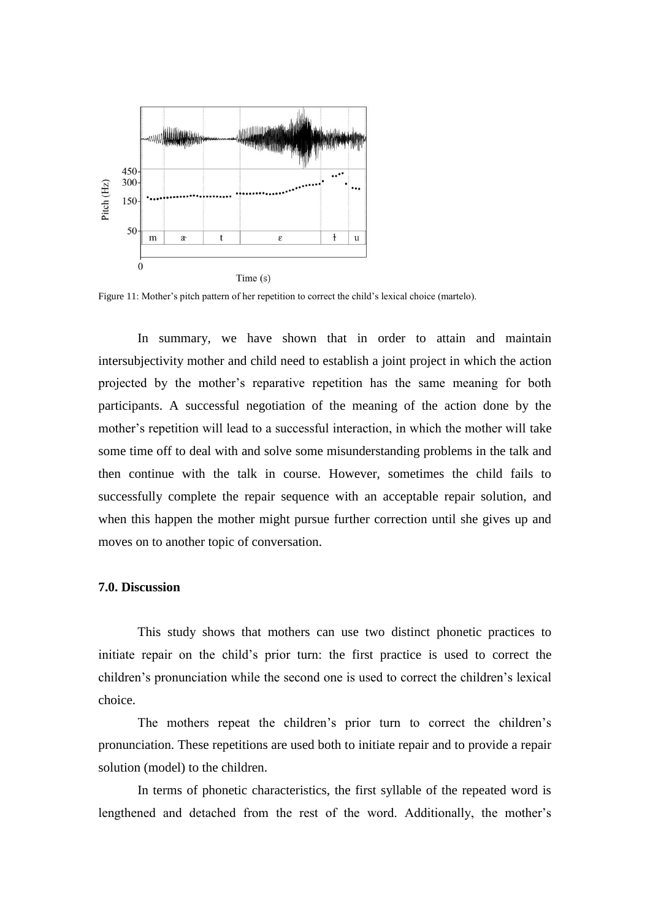

Figure 11: Mother's pitch pattern of her repetition to correct the child's lexical choice (martelo).

 In summary, we have shown that in order to attain and maintain intersubjectivity mother and child need to establish a joint project in which the action projected by the mother's reparative repetition has the same meaning for both participants. A successful negotiation of the meaning of the action done by the mother's repetition will lead to a successful interaction, in which the mother will take some time off to deal with and solve some misunderstanding problems in the talk and then continue with the talk in course. However, sometimes the child fails to successfully complete the repair sequence with an acceptable repair solution, and when this happen the mother might pursue further correction until she gives up and moves on to another topic of conversation.

# **7.0. Discussion**

 This study shows that mothers can use two distinct phonetic practices to initiate repair on the child's prior turn: the first practice is used to correct the children's pronunciation while the second one is used to correct the children's lexical choice.

The mothers repeat the children's prior turn to correct the children's pronunciation. These repetitions are used both to initiate repair and to provide a repair solution (model) to the children.

 In terms of phonetic characteristics, the first syllable of the repeated word is lengthened and detached from the rest of the word. Additionally, the mother's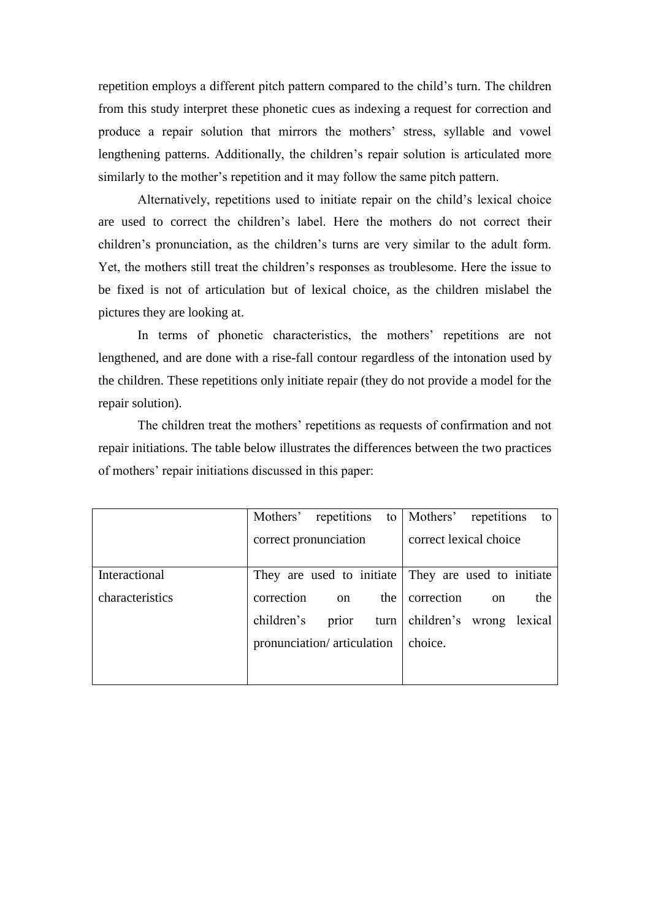repetition employs a different pitch pattern compared to the child's turn. The children from this study interpret these phonetic cues as indexing a request for correction and produce a repair solution that mirrors the mothers' stress, syllable and vowel lengthening patterns. Additionally, the children's repair solution is articulated more similarly to the mother's repetition and it may follow the same pitch pattern.

Alternatively, repetitions used to initiate repair on the child's lexical choice are used to correct the children's label. Here the mothers do not correct their children's pronunciation, as the children's turns are very similar to the adult form. Yet, the mothers still treat the children's responses as troublesome. Here the issue to be fixed is not of articulation but of lexical choice, as the children mislabel the pictures they are looking at.

In terms of phonetic characteristics, the mothers' repetitions are not lengthened, and are done with a rise-fall contour regardless of the intonation used by the children. These repetitions only initiate repair (they do not provide a model for the repair solution).

The children treat the mothers' repetitions as requests of confirmation and not repair initiations. The table below illustrates the differences between the two practices of mothers' repair initiations discussed in this paper:

|                 | Mothers' repetitions       |               |         | to Mothers' repetitions                             |          | to  |
|-----------------|----------------------------|---------------|---------|-----------------------------------------------------|----------|-----|
|                 | correct pronunciation      |               |         | correct lexical choice                              |          |     |
|                 |                            |               |         |                                                     |          |     |
| Interactional   |                            |               |         | They are used to initiate They are used to initiate |          |     |
| characteristics | correction                 | <sub>on</sub> | the     | correction                                          | $\alpha$ | the |
|                 | children's                 | prior         |         | turn children's wrong lexical                       |          |     |
|                 | pronunciation/articulation |               | choice. |                                                     |          |     |
|                 |                            |               |         |                                                     |          |     |
|                 |                            |               |         |                                                     |          |     |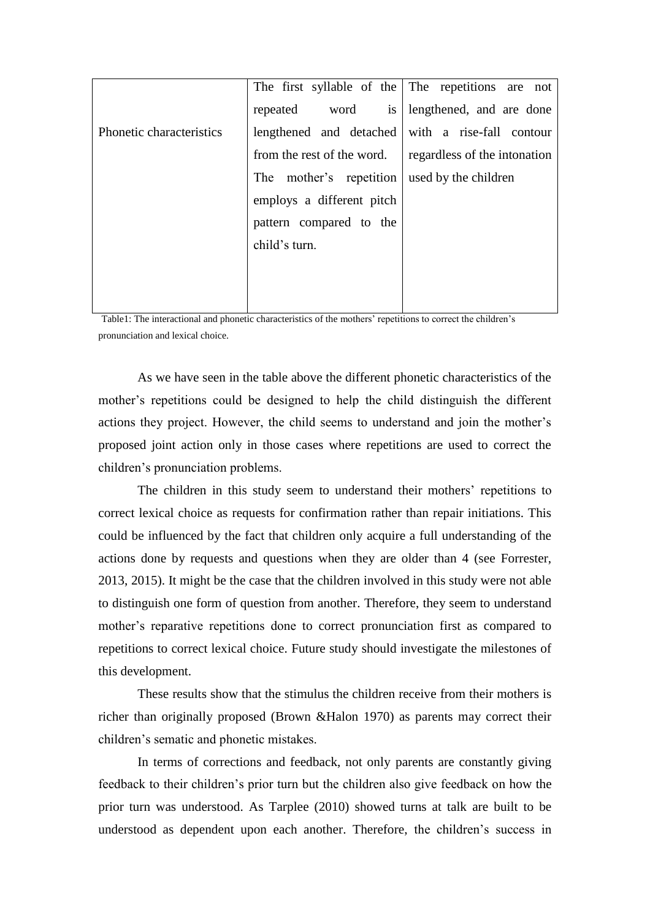|                          |                                                   | The first syllable of the The repetitions are not |  |  |
|--------------------------|---------------------------------------------------|---------------------------------------------------|--|--|
|                          | repeated word is lengthened, and are done         |                                                   |  |  |
| Phonetic characteristics |                                                   | lengthened and detached with a rise-fall contour  |  |  |
|                          | from the rest of the word.                        | regardless of the intonation                      |  |  |
|                          | The mother's repetition will used by the children |                                                   |  |  |
|                          | employs a different pitch                         |                                                   |  |  |
|                          | pattern compared to the                           |                                                   |  |  |
|                          | child's turn.                                     |                                                   |  |  |
|                          |                                                   |                                                   |  |  |
|                          |                                                   |                                                   |  |  |

Table1: The interactional and phonetic characteristics of the mothers' repetitions to correct the children's pronunciation and lexical choice.

 As we have seen in the table above the different phonetic characteristics of the mother's repetitions could be designed to help the child distinguish the different actions they project. However, the child seems to understand and join the mother's proposed joint action only in those cases where repetitions are used to correct the children's pronunciation problems.

 The children in this study seem to understand their mothers' repetitions to correct lexical choice as requests for confirmation rather than repair initiations. This could be influenced by the fact that children only acquire a full understanding of the actions done by requests and questions when they are older than 4 (see Forrester, 2013, 2015). It might be the case that the children involved in this study were not able to distinguish one form of question from another. Therefore, they seem to understand mother's reparative repetitions done to correct pronunciation first as compared to repetitions to correct lexical choice. Future study should investigate the milestones of this development.

 These results show that the stimulus the children receive from their mothers is richer than originally proposed (Brown &Halon 1970) as parents may correct their children's sematic and phonetic mistakes.

 In terms of corrections and feedback, not only parents are constantly giving feedback to their children's prior turn but the children also give feedback on how the prior turn was understood. As Tarplee (2010) showed turns at talk are built to be understood as dependent upon each another. Therefore, the children's success in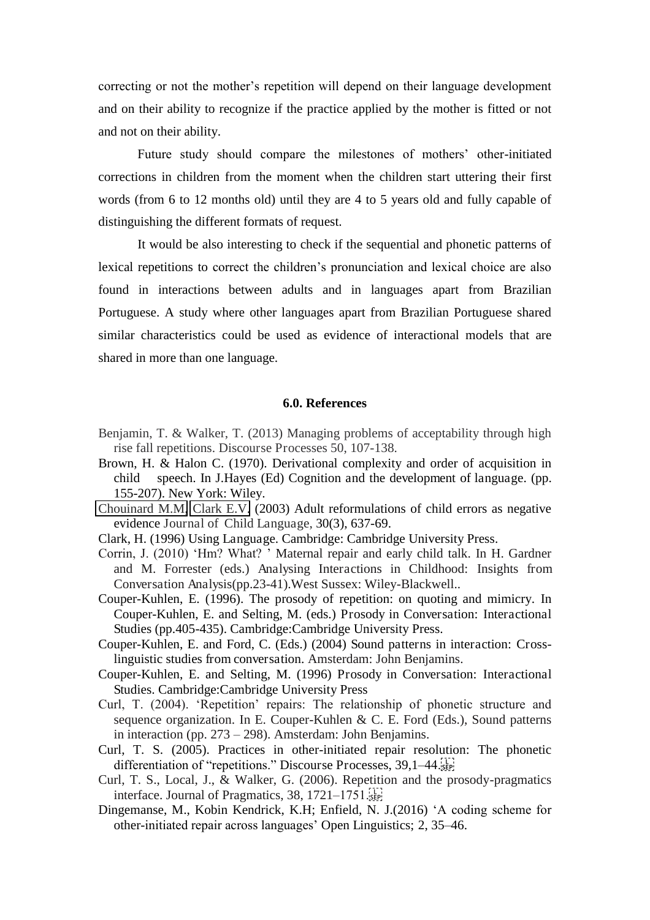correcting or not the mother's repetition will depend on their language development and on their ability to recognize if the practice applied by the mother is fitted or not and not on their ability.

Future study should compare the milestones of mothers' other-initiated corrections in children from the moment when the children start uttering their first words (from 6 to 12 months old) until they are 4 to 5 years old and fully capable of distinguishing the different formats of request.

 It would be also interesting to check if the sequential and phonetic patterns of lexical repetitions to correct the children's pronunciation and lexical choice are also found in interactions between adults and in languages apart from Brazilian Portuguese. A study where other languages apart from Brazilian Portuguese shared similar characteristics could be used as evidence of interactional models that are shared in more than one language.

## **6.0. References**

- Benjamin, T. & Walker, T. (2013) Managing problems of acceptability through high rise fall repetitions. Discourse Processes 50, 107-138.
- Brown, H. & Halon C. (1970). Derivational complexity and order of acquisition in child speech. In J.Hayes (Ed) Cognition and the development of language. (pp. 155-207). New York: Wiley.
- [Chouinard M.M,](http://www.ncbi.nlm.nih.gov/pubmed/?term=Chouinard%20MM%255BAuthor%255D&cauthor=true&cauthor_uid=14513471) [Clark E.V.](http://www.ncbi.nlm.nih.gov/pubmed/?term=Clark%20EV%255BAuthor%255D&cauthor=true&cauthor_uid=14513471) (2003) Adult reformulations of child errors as negative evidence Journal of Child Language, 30(3), 637-69.
- Clark, H. (1996) Using Language. Cambridge: Cambridge University Press.
- Corrin, J. (2010) 'Hm? What? ' Maternal repair and early child talk. In H. Gardner and M. Forrester (eds.) Analysing Interactions in Childhood: Insights from Conversation Analysis(pp.23-41).West Sussex: Wiley-Blackwell..
- Couper-Kuhlen, E. (1996). The prosody of repetition: on quoting and mimicry. In Couper-Kuhlen, E. and Selting, M. (eds.) Prosody in Conversation: Interactional Studies (pp.405-435). Cambridge:Cambridge University Press.
- Couper-Kuhlen, E. and Ford, C. (Eds.) (2004) Sound patterns in interaction: Crosslinguistic studies from conversation. Amsterdam: John Benjamins.
- Couper-Kuhlen, E. and Selting, M. (1996) Prosody in Conversation: Interactional Studies. Cambridge:Cambridge University Press
- Curl, T. (2004). 'Repetition' repairs: The relationship of phonetic structure and sequence organization. In E. Couper-Kuhlen & C. E. Ford (Eds.), Sound patterns in interaction (pp. 273 – 298). Amsterdam: John Benjamins.
- Curl, T. S. (2005). Practices in other-initiated repair resolution: The phonetic differentiation of "repetitions." Discourse Processes,  $39,1-44$ .
- Curl, T. S., Local, J., & Walker, G. (2006). Repetition and the prosody-pragmatics interface. Journal of Pragmatics,  $38$ ,  $1721-1751$ .
- Dingemanse, M., Kobin Kendrick, K.H; Enfield, N. J.(2016) 'A coding scheme for other-initiated repair across languages' Open Linguistics; 2, 35–46.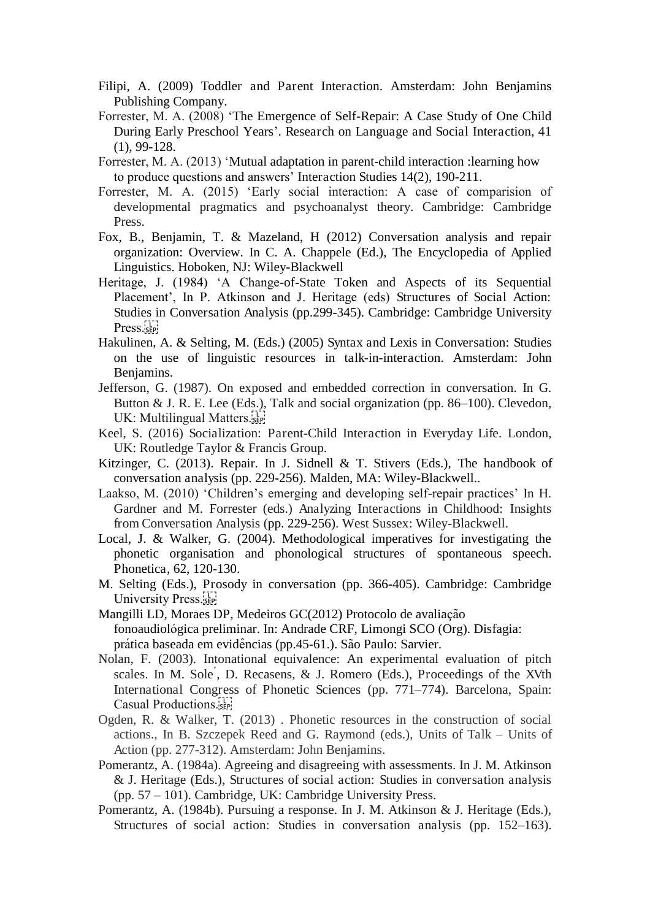- Filipi, A. (2009) Toddler and Parent Interaction. Amsterdam: John Benjamins Publishing Company.
- Forrester, M. A. (2008) 'The Emergence of Self-Repair: A Case Study of One Child During Early Preschool Years'. Research on Language and Social Interaction, 41 (1), 99-128.
- Forrester, M. A. (2013) 'Mutual adaptation in parent-child interaction :learning how to produce questions and answers' Interaction Studies 14(2), 190-211.
- Forrester, M. A. (2015) 'Early social interaction: A case of comparision of developmental pragmatics and psychoanalyst theory. Cambridge: Cambridge Press.
- Fox, B., Benjamin, T. & Mazeland, H (2012) Conversation analysis and repair organization: Overview. In C. A. Chappele (Ed.), The Encyclopedia of Applied Linguistics. Hoboken, NJ: Wiley-Blackwell
- Heritage, J. (1984) 'A Change-of-State Token and Aspects of its Sequential Placement', In P. Atkinson and J. Heritage (eds) Structures of Social Action: Studies in Conversation Analysis (pp.299-345). Cambridge: Cambridge University Press.
- Hakulinen, A. & Selting, M. (Eds.) (2005) Syntax and Lexis in Conversation: Studies on the use of linguistic resources in talk-in-interaction. Amsterdam: John Benjamins.
- Jefferson, G. (1987). On exposed and embedded correction in conversation. In G. Button & J. R. E. Lee (Eds.), Talk and social organization (pp. 86–100). Clevedon, UK: Multilingual Matters.
- Keel, S. (2016) Socialization: Parent-Child Interaction in Everyday Life. London, UK: Routledge Taylor & Francis Group.
- Kitzinger, C. (2013). Repair. In J. Sidnell & T. Stivers (Eds.), The handbook of conversation analysis (pp. 229-256). Malden, MA: Wiley-Blackwell..
- Laakso, M. (2010) 'Children's emerging and developing self-repair practices' In H. Gardner and M. Forrester (eds.) Analyzing Interactions in Childhood: Insights from Conversation Analysis (pp. 229-256). West Sussex: Wiley-Blackwell.
- Local, J. & Walker, G. (2004). Methodological imperatives for investigating the phonetic organisation and phonological structures of spontaneous speech. Phonetica, 62, 120-130.
- M. Selting (Eds.), Prosody in conversation (pp. 366-405). Cambridge: Cambridge University Press.
- Mangilli LD, Moraes DP, Medeiros GC(2012) Protocolo de avaliação fonoaudiológica preliminar. In: Andrade CRF, Limongi SCO (Org). Disfagia: prática baseada em evidências (pp.45-61.). São Paulo: Sarvier.
- Nolan, F. (2003). Intonational equivalence: An experimental evaluation of pitch scales. In M. Sole, D. Recasens, & J. Romero (Eds.), Proceedings of the XVth International Congress of Phonetic Sciences (pp. 771–774). Barcelona, Spain: Casual Productions.
- Ogden, R. & Walker, T. (2013) . Phonetic resources in the construction of social actions., In B. Szczepek Reed and G. Raymond (eds.), Units of Talk *–* Units of Action (pp. 277-312). Amsterdam: John Benjamins.
- Pomerantz, A. (1984a). Agreeing and disagreeing with assessments. In J. M. Atkinson & J. Heritage (Eds.), Structures of social action: Studies in conversation analysis (pp. 57 – 101). Cambridge, UK: Cambridge University Press.
- Pomerantz, A. (1984b). Pursuing a response. In J. M. Atkinson & J. Heritage (Eds.), Structures of social action: Studies in conversation analysis (pp. 152–163).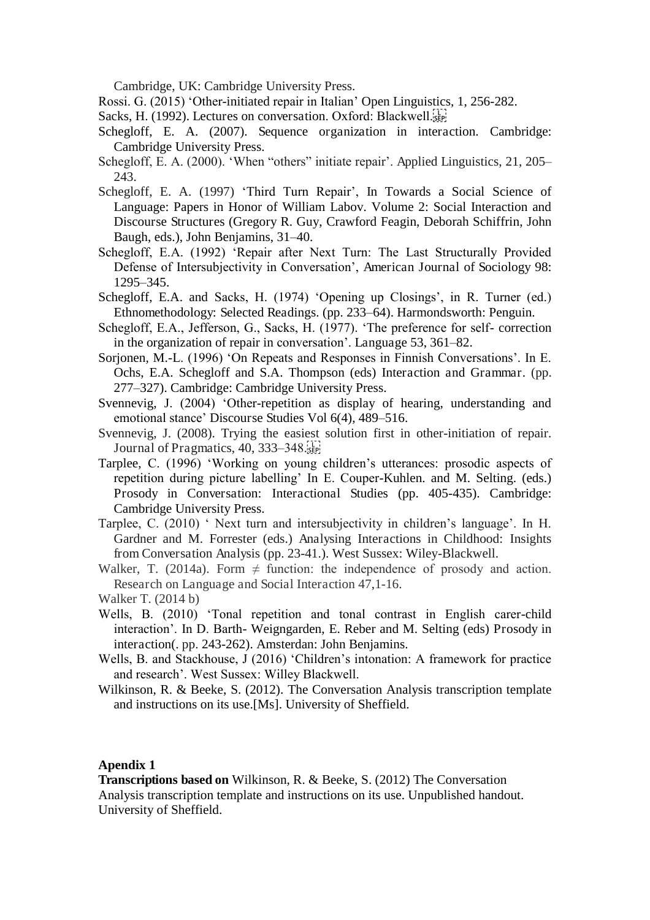Cambridge, UK: Cambridge University Press.

- Rossi. G. (2015) 'Other-initiated repair in Italian' Open Linguistics, 1, 256-282.
- Sacks, H. (1992). Lectures on conversation. Oxford: Blackwell.
- Schegloff, E. A. (2007). Sequence organization in interaction. Cambridge: Cambridge University Press.
- Schegloff, E. A. (2000). 'When "others" initiate repair'. Applied Linguistics, 21, 205– 243.
- Schegloff, E. A. (1997) 'Third Turn Repair', In Towards a Social Science of Language: Papers in Honor of William Labov. Volume 2: Social Interaction and Discourse Structures (Gregory R. Guy, Crawford Feagin, Deborah Schiffrin, John Baugh, eds.), John Benjamins, 31–40.
- Schegloff, E.A. (1992) 'Repair after Next Turn: The Last Structurally Provided Defense of Intersubjectivity in Conversation', American Journal of Sociology 98: 1295–345.
- Schegloff, E.A. and Sacks, H. (1974) 'Opening up Closings', in R. Turner (ed.) Ethnomethodology: Selected Readings. (pp. 233–64). Harmondsworth: Penguin.
- Schegloff, E.A., Jefferson, G., Sacks, H. (1977). 'The preference for self- correction in the organization of repair in conversation'. Language 53, 361–82.
- Sorjonen, M.-L. (1996) 'On Repeats and Responses in Finnish Conversations'. In E. Ochs, E.A. Schegloff and S.A. Thompson (eds) Interaction and Grammar. (pp. 277–327). Cambridge: Cambridge University Press.
- Svennevig, J. (2004) 'Other-repetition as display of hearing, understanding and emotional stance' Discourse Studies Vol 6(4), 489–516.
- Svennevig, J. (2008). Trying the easiest solution first in other-initiation of repair. Journal of Pragmatics,  $40, 333-348$ .
- Tarplee, C. (1996) 'Working on young children's utterances: prosodic aspects of repetition during picture labelling' In E. Couper-Kuhlen. and M. Selting. (eds.) Prosody in Conversation: Interactional Studies (pp. 405-435). Cambridge: Cambridge University Press.
- Tarplee, C. (2010) ' Next turn and intersubjectivity in children's language'. In H. Gardner and M. Forrester (eds.) Analysing Interactions in Childhood: Insights from Conversation Analysis (pp. 23-41.). West Sussex: Wiley-Blackwell.
- Walker, T. (2014a). Form  $\neq$  function: the independence of prosody and action. Research on Language and Social Interaction 47,1-16.
- Walker T. (2014 b)
- Wells, B. (2010) 'Tonal repetition and tonal contrast in English carer-child interaction'. In D. Barth- Weigngarden, E. Reber and M. Selting (eds) Prosody in interaction(. pp. 243-262). Amsterdan: John Benjamins.
- Wells, B. and Stackhouse, J (2016) 'Children's intonation: A framework for practice and research'. West Sussex: Willey Blackwell.
- Wilkinson, R. & Beeke, S. (2012). The Conversation Analysis transcription template and instructions on its use.[Ms]. University of Sheffield.

# **Apendix 1**

**Transcriptions based on** Wilkinson, R. & Beeke, S. (2012) The Conversation Analysis transcription template and instructions on its use. Unpublished handout. University of Sheffield.